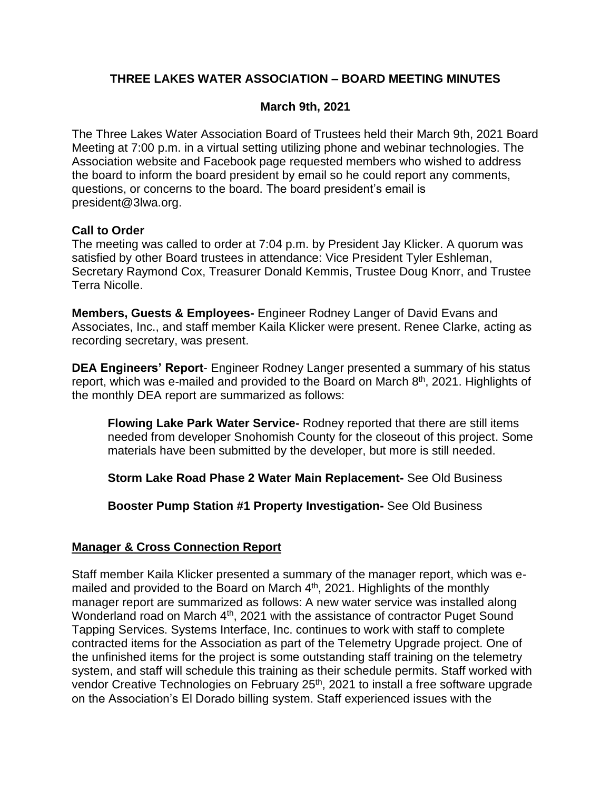# **THREE LAKES WATER ASSOCIATION – BOARD MEETING MINUTES**

## **March 9th, 2021**

The Three Lakes Water Association Board of Trustees held their March 9th, 2021 Board Meeting at 7:00 p.m. in a virtual setting utilizing phone and webinar technologies. The Association website and Facebook page requested members who wished to address the board to inform the board president by email so he could report any comments, questions, or concerns to the board. The board president's email is president@3lwa.org.

## **Call to Order**

The meeting was called to order at 7:04 p.m. by President Jay Klicker. A quorum was satisfied by other Board trustees in attendance: Vice President Tyler Eshleman, Secretary Raymond Cox, Treasurer Donald Kemmis, Trustee Doug Knorr, and Trustee Terra Nicolle.

**Members, Guests & Employees-** Engineer Rodney Langer of David Evans and Associates, Inc., and staff member Kaila Klicker were present. Renee Clarke, acting as recording secretary, was present.

**DEA Engineers' Report**- Engineer Rodney Langer presented a summary of his status report, which was e-mailed and provided to the Board on March 8<sup>th</sup>, 2021. Highlights of the monthly DEA report are summarized as follows:

**Flowing Lake Park Water Service-** Rodney reported that there are still items needed from developer Snohomish County for the closeout of this project. Some materials have been submitted by the developer, but more is still needed.

**Storm Lake Road Phase 2 Water Main Replacement-** See Old Business

**Booster Pump Station #1 Property Investigation-** See Old Business

## **Manager & Cross Connection Report**

Staff member Kaila Klicker presented a summary of the manager report, which was emailed and provided to the Board on March  $4<sup>th</sup>$ , 2021. Highlights of the monthly manager report are summarized as follows: A new water service was installed along Wonderland road on March 4<sup>th</sup>, 2021 with the assistance of contractor Puget Sound Tapping Services. Systems Interface, Inc. continues to work with staff to complete contracted items for the Association as part of the Telemetry Upgrade project. One of the unfinished items for the project is some outstanding staff training on the telemetry system, and staff will schedule this training as their schedule permits. Staff worked with vendor Creative Technologies on February 25<sup>th</sup>, 2021 to install a free software upgrade on the Association's El Dorado billing system. Staff experienced issues with the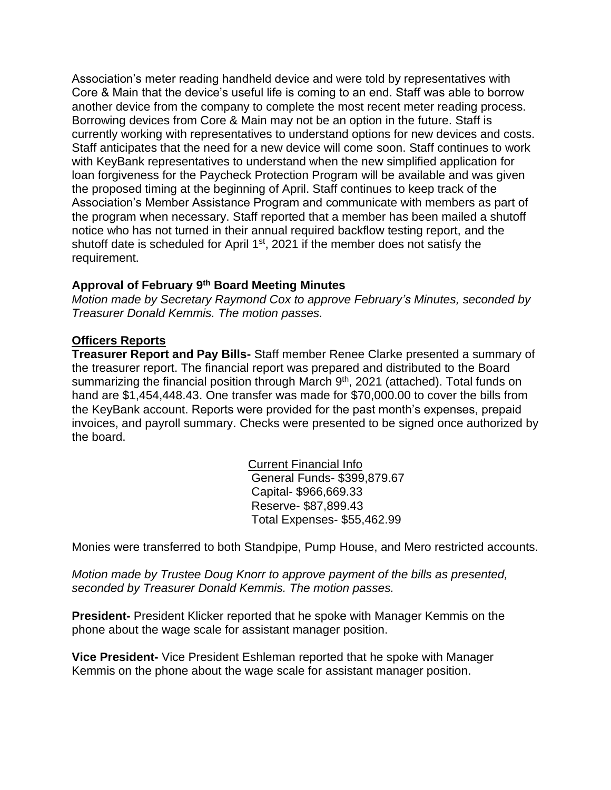Association's meter reading handheld device and were told by representatives with Core & Main that the device's useful life is coming to an end. Staff was able to borrow another device from the company to complete the most recent meter reading process. Borrowing devices from Core & Main may not be an option in the future. Staff is currently working with representatives to understand options for new devices and costs. Staff anticipates that the need for a new device will come soon. Staff continues to work with KeyBank representatives to understand when the new simplified application for loan forgiveness for the Paycheck Protection Program will be available and was given the proposed timing at the beginning of April. Staff continues to keep track of the Association's Member Assistance Program and communicate with members as part of the program when necessary. Staff reported that a member has been mailed a shutoff notice who has not turned in their annual required backflow testing report, and the shutoff date is scheduled for April 1<sup>st</sup>, 2021 if the member does not satisfy the requirement.

## **Approval of February 9 th Board Meeting Minutes**

*Motion made by Secretary Raymond Cox to approve February's Minutes, seconded by Treasurer Donald Kemmis. The motion passes.*

## **Officers Reports**

**Treasurer Report and Pay Bills-** Staff member Renee Clarke presented a summary of the treasurer report. The financial report was prepared and distributed to the Board summarizing the financial position through March 9<sup>th</sup>, 2021 (attached). Total funds on hand are \$1,454,448.43. One transfer was made for \$70,000.00 to cover the bills from the KeyBank account. Reports were provided for the past month's expenses, prepaid invoices, and payroll summary. Checks were presented to be signed once authorized by the board.

> Current Financial Info General Funds- \$399,879.67 Capital- \$966,669.33 Reserve- \$87,899.43 Total Expenses- \$55,462.99

Monies were transferred to both Standpipe, Pump House, and Mero restricted accounts.

*Motion made by Trustee Doug Knorr to approve payment of the bills as presented, seconded by Treasurer Donald Kemmis. The motion passes.*

**President-** President Klicker reported that he spoke with Manager Kemmis on the phone about the wage scale for assistant manager position.

**Vice President-** Vice President Eshleman reported that he spoke with Manager Kemmis on the phone about the wage scale for assistant manager position.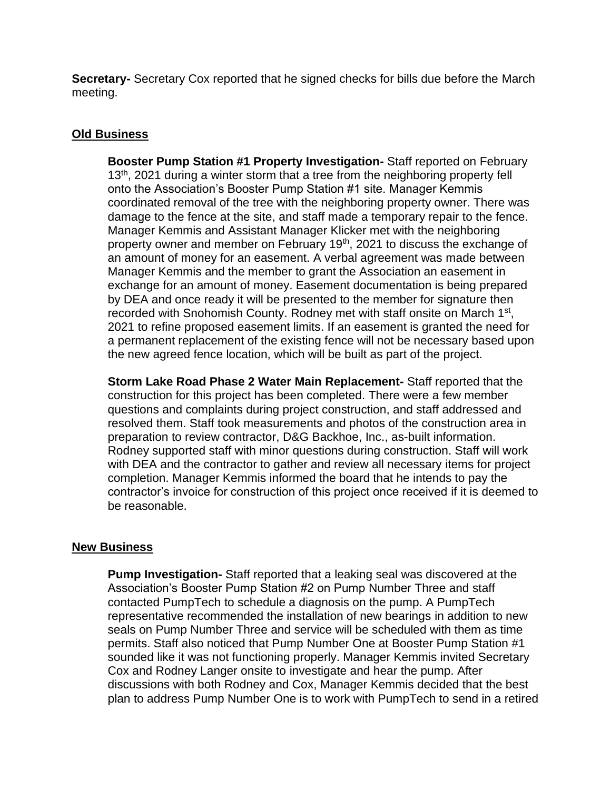**Secretary-** Secretary Cox reported that he signed checks for bills due before the March meeting.

#### **Old Business**

**Booster Pump Station #1 Property Investigation-** Staff reported on February  $13<sup>th</sup>$ , 2021 during a winter storm that a tree from the neighboring property fell onto the Association's Booster Pump Station #1 site. Manager Kemmis coordinated removal of the tree with the neighboring property owner. There was damage to the fence at the site, and staff made a temporary repair to the fence. Manager Kemmis and Assistant Manager Klicker met with the neighboring property owner and member on February 19<sup>th</sup>, 2021 to discuss the exchange of an amount of money for an easement. A verbal agreement was made between Manager Kemmis and the member to grant the Association an easement in exchange for an amount of money. Easement documentation is being prepared by DEA and once ready it will be presented to the member for signature then recorded with Snohomish County. Rodney met with staff onsite on March 1<sup>st</sup>, 2021 to refine proposed easement limits. If an easement is granted the need for a permanent replacement of the existing fence will not be necessary based upon the new agreed fence location, which will be built as part of the project.

**Storm Lake Road Phase 2 Water Main Replacement-** Staff reported that the construction for this project has been completed. There were a few member questions and complaints during project construction, and staff addressed and resolved them. Staff took measurements and photos of the construction area in preparation to review contractor, D&G Backhoe, Inc., as-built information. Rodney supported staff with minor questions during construction. Staff will work with DEA and the contractor to gather and review all necessary items for project completion. Manager Kemmis informed the board that he intends to pay the contractor's invoice for construction of this project once received if it is deemed to be reasonable.

#### **New Business**

**Pump Investigation-** Staff reported that a leaking seal was discovered at the Association's Booster Pump Station #2 on Pump Number Three and staff contacted PumpTech to schedule a diagnosis on the pump. A PumpTech representative recommended the installation of new bearings in addition to new seals on Pump Number Three and service will be scheduled with them as time permits. Staff also noticed that Pump Number One at Booster Pump Station #1 sounded like it was not functioning properly. Manager Kemmis invited Secretary Cox and Rodney Langer onsite to investigate and hear the pump. After discussions with both Rodney and Cox, Manager Kemmis decided that the best plan to address Pump Number One is to work with PumpTech to send in a retired